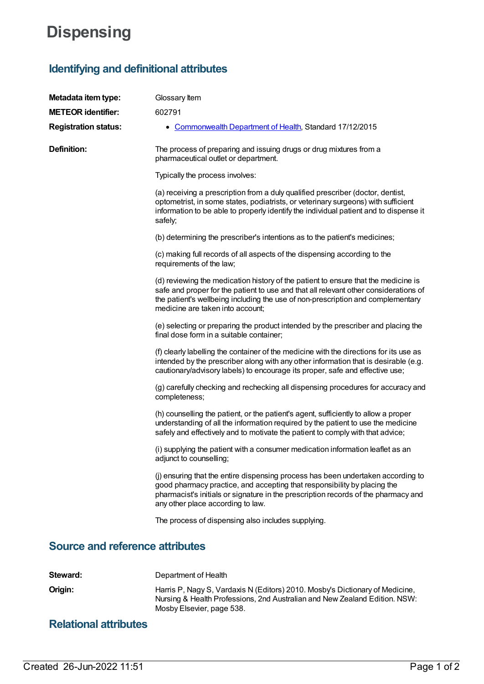## **Dispensing**

## **Identifying and definitional attributes**

| Metadata item type:                    | Glossary Item                                                                                                                                                                                                                                                                                     |
|----------------------------------------|---------------------------------------------------------------------------------------------------------------------------------------------------------------------------------------------------------------------------------------------------------------------------------------------------|
| <b>METEOR identifier:</b>              | 602791                                                                                                                                                                                                                                                                                            |
| <b>Registration status:</b>            | • Commonwealth Department of Health, Standard 17/12/2015                                                                                                                                                                                                                                          |
| Definition:                            | The process of preparing and issuing drugs or drug mixtures from a<br>pharmaceutical outlet or department.                                                                                                                                                                                        |
|                                        | Typically the process involves:                                                                                                                                                                                                                                                                   |
|                                        | (a) receiving a prescription from a duly qualified prescriber (doctor, dentist,<br>optometrist, in some states, podiatrists, or veterinary surgeons) with sufficient<br>information to be able to properly identify the individual patient and to dispense it<br>safely;                          |
|                                        | (b) determining the prescriber's intentions as to the patient's medicines;                                                                                                                                                                                                                        |
|                                        | (c) making full records of all aspects of the dispensing according to the<br>requirements of the law;                                                                                                                                                                                             |
|                                        | (d) reviewing the medication history of the patient to ensure that the medicine is<br>safe and proper for the patient to use and that all relevant other considerations of<br>the patient's wellbeing including the use of non-prescription and complementary<br>medicine are taken into account; |
|                                        | (e) selecting or preparing the product intended by the prescriber and placing the<br>final dose form in a suitable container;                                                                                                                                                                     |
|                                        | (f) clearly labelling the container of the medicine with the directions for its use as<br>intended by the prescriber along with any other information that is desirable (e.g.<br>cautionary/advisory labels) to encourage its proper, safe and effective use;                                     |
|                                        | (g) carefully checking and rechecking all dispensing procedures for accuracy and<br>completeness;                                                                                                                                                                                                 |
|                                        | (h) counselling the patient, or the patient's agent, sufficiently to allow a proper<br>understanding of all the information required by the patient to use the medicine<br>safely and effectively and to motivate the patient to comply with that advice;                                         |
|                                        | (i) supplying the patient with a consumer medication information leaflet as an<br>adjunct to counselling;                                                                                                                                                                                         |
|                                        | (j) ensuring that the entire dispensing process has been undertaken according to<br>good pharmacy practice, and accepting that responsibility by placing the<br>pharmacist's initials or signature in the prescription records of the pharmacy and<br>any other place according to law.           |
|                                        | The process of dispensing also includes supplying.                                                                                                                                                                                                                                                |
| <b>Source and reference attributes</b> |                                                                                                                                                                                                                                                                                                   |
| Steward:                               | Department of Health                                                                                                                                                                                                                                                                              |
| Origin:                                | Harris P, Nagy S, Vardaxis N (Editors) 2010. Mosby's Dictionary of Medicine,                                                                                                                                                                                                                      |

Nursing & Health Professions, 2nd Australian and New Zealand Edition. NSW:

Mosby Elsevier, page 538.